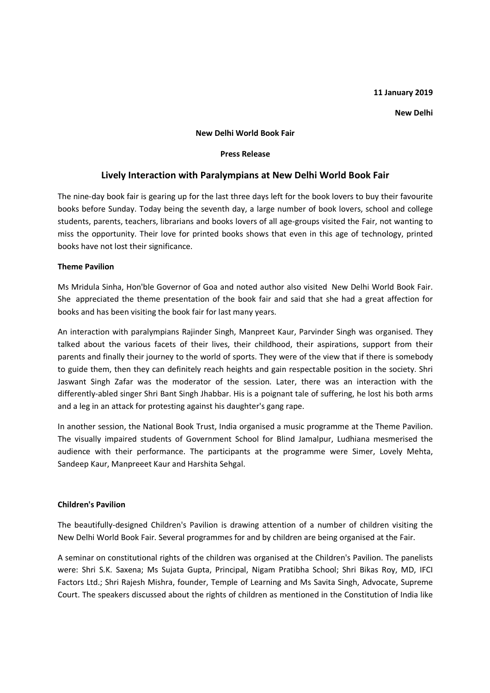### **11 January 2019**

#### **New Delhi**

#### **New Delhi World Book Fair**

### **Press Release**

# **Lively Interaction with Paralympians at New Delhi World Book Fair**

The nine-day book fair is gearing up for the last three days left for the book lovers to buy their favourite books before Sunday. Today being the seventh day, a large number of book lovers, school and college students, parents, teachers, librarians and books lovers of all age-groups visited the Fair, not wanting to miss the opportunity. Their love for printed books shows that even in this age of technology, printed books have not lost their significance.

## **Theme Pavilion**

Ms Mridula Sinha, Hon'ble Governor of Goa and noted author also visited New Delhi World Book Fair. She appreciated the theme presentation of the book fair and said that she had a great affection for books and has been visiting the book fair for last many years.

An interaction with paralympians Rajinder Singh, Manpreet Kaur, Parvinder Singh was organised. They talked about the various facets of their lives, their childhood, their aspirations, support from their parents and finally their journey to the world of sports. They were of the view that if there is somebody to guide them, then they can definitely reach heights and gain respectable position in the society. Shri Jaswant Singh Zafar was the moderator of the session. Later, there was an interaction with the differently-abled singer Shri Bant Singh Jhabbar. His is a poignant tale of suffering, he lost his both arms and a leg in an attack for protesting against his daughter's gang rape.

In another session, the National Book Trust, India organised a music programme at the Theme Pavilion. The visually impaired students of Government School for Blind Jamalpur, Ludhiana mesmerised the audience with their performance. The participants at the programme were Simer, Lovely Mehta, Sandeep Kaur, Manpreeet Kaur and Harshita Sehgal.

### **Children's Pavilion**

The beautifully-designed Children's Pavilion is drawing attention of a number of children visiting the New Delhi World Book Fair. Several programmes for and by children are being organised at the Fair.

A seminar on constitutional rights of the children was organised at the Children's Pavilion. The panelists were: Shri S.K. Saxena; Ms Sujata Gupta, Principal, Nigam Pratibha School; Shri Bikas Roy, MD, IFCI Factors Ltd.; Shri Rajesh Mishra, founder, Temple of Learning and Ms Savita Singh, Advocate, Supreme Court. The speakers discussed about the rights of children as mentioned in the Constitution of India like